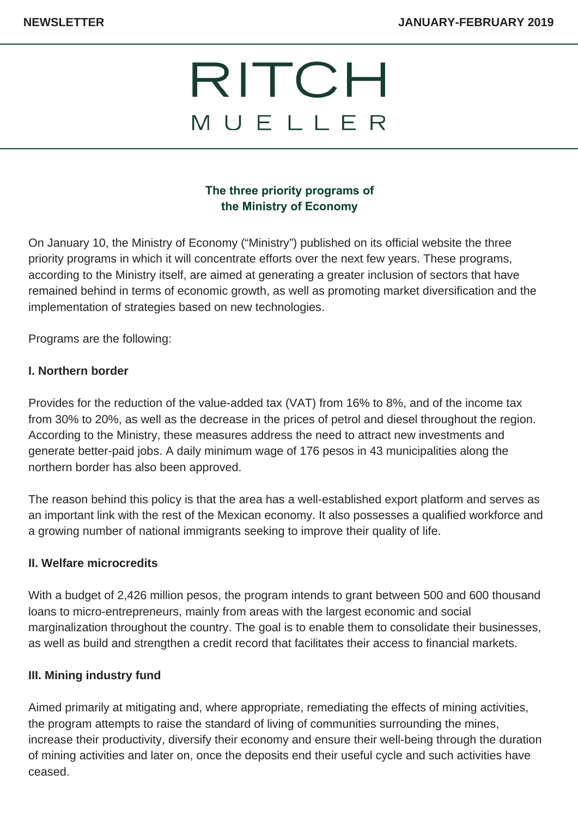# RITCH MUELLER

### **The three priority programs of the Ministry of Economy**

On January 10, the Ministry of Economy ("Ministry") published on its official website the three priority programs in which it will concentrate efforts over the next few years. These programs, according to the Ministry itself, are aimed at generating a greater inclusion of sectors that have remained behind in terms of economic growth, as well as promoting market diversification and the implementation of strategies based on new technologies.

Programs are the following:

#### **I. Northern border**

Provides for the reduction of the value-added tax (VAT) from 16% to 8%, and of the income tax from 30% to 20%, as well as the decrease in the prices of petrol and diesel throughout the region. According to the Ministry, these measures address the need to attract new investments and generate better-paid jobs. A daily minimum wage of 176 pesos in 43 municipalities along the northern border has also been approved.

The reason behind this policy is that the area has a well-established export platform and serves as an important link with the rest of the Mexican economy. It also possesses a qualified workforce and a growing number of national immigrants seeking to improve their quality of life.

#### **II. Welfare microcredits**

With a budget of 2,426 million pesos, the program intends to grant between 500 and 600 thousand loans to micro-entrepreneurs, mainly from areas with the largest economic and social marginalization throughout the country. The goal is to enable them to consolidate their businesses, as well as build and strengthen a credit record that facilitates their access to financial markets.

#### **III. Mining industry fund**

Aimed primarily at mitigating and, where appropriate, remediating the effects of mining activities, the program attempts to raise the standard of living of communities surrounding the mines, increase their productivity, diversify their economy and ensure their well-being through the duration of mining activities and later on, once the deposits end their useful cycle and such activities have ceased.